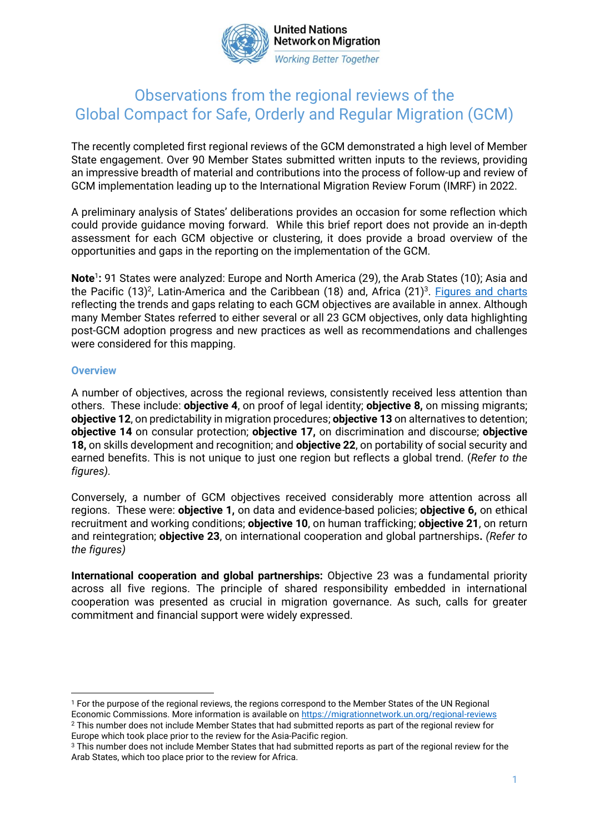

**United Nations Network on Migration Working Better Together** 

# Observations from the regional reviews of the Global Compact for Safe, Orderly and Regular Migration (GCM)

The recently completed first regional reviews of the GCM demonstrated a high level of Member State engagement. Over 90 Member States submitted written inputs to the reviews, providing an impressive breadth of material and contributions into the process of follow-up and review of GCM implementation leading up to the International Migration Review Forum (IMRF) in 2022.

A preliminary analysis of States' deliberations provides an occasion for some reflection which could provide guidance moving forward. While this brief report does not provide an in-depth assessment for each GCM objective or clustering, it does provide a broad overview of the opportunities and gaps in the reporting on the implementation of the GCM.

**Note<sup>1</sup>:** 91 States were analyzed: Europe and North America (29), the Arab States (10); Asia and the Pacific (13)<sup>2</sup>, Latin-America and the Caribbean (18) and, Africa (21)<sup>3</sup>. <u>Figures and charts</u> reflecting the trends and gaps relating to each GCM objectives are available in annex. Although many Member States referred to either several or all 23 GCM objectives, only data highlighting post-GCM adoption progress and new practices as well as recommendations and challenges were considered for this mapping.

#### **Overview**

A number of objectives, across the regional reviews, consistently received less attention than others. These include: **objective 4**, on proof of legal identity; **objective 8,** on missing migrants; **objective 12**, on predictability in migration procedures; **objective 13** on alternatives to detention; **objective 14** on consular protection; **objective 17,** on discrimination and discourse; **objective 18,** on skills development and recognition; and **objective 22**, on portability of social security and earned benefits. This is not unique to just one region but reflects a global trend. (*Refer to the figures).*

Conversely, a number of GCM objectives received considerably more attention across all regions. These were: **objective 1,** on data and evidence-based policies; **objective 6,** on ethical recruitment and working conditions; **objective 10**, on human trafficking; **objective 21**, on return and reintegration; **objective 23**, on international cooperation and global partnerships**.** *(Refer to the figures)*

**International cooperation and global partnerships:** Objective 23 was a fundamental priority across all five regions. The principle of shared responsibility embedded in international cooperation was presented as crucial in migration governance. As such, calls for greater commitment and financial support were widely expressed.

<sup>&</sup>lt;sup>1</sup> For the purpose of the regional reviews, the regions correspond to the Member States of the UN Regional Economic Commissions. More information is available o[n https://migrationnetwork.un.org/regional-reviews](https://migrationnetwork.un.org/regional-reviews) <sup>2</sup> This number does not include Member States that had submitted reports as part of the regional review for Europe which took place prior to the review for the Asia-Pacific region.

<sup>3</sup> This number does not include Member States that had submitted reports as part of the regional review for the Arab States, which too place prior to the review for Africa.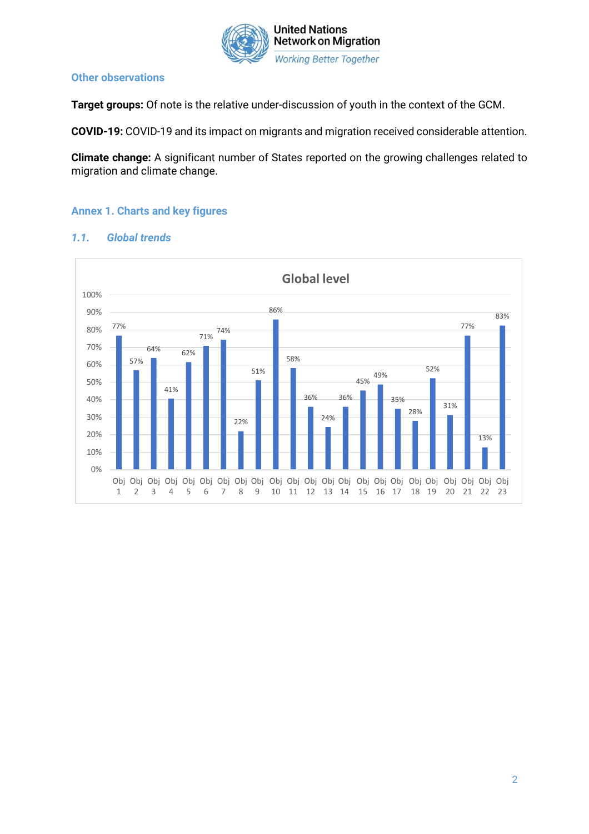

#### **Other observations**

**Target groups:** Of note is the relative under-discussion of youth in the context of the GCM.

**COVID-19:** COVID-19 and its impact on migrants and migration received considerable attention.

**Climate change:** A significant number of States reported on the growing challenges related to migration and climate change.

### **Annex 1. Charts and key figures**



#### *1.1. Global trends*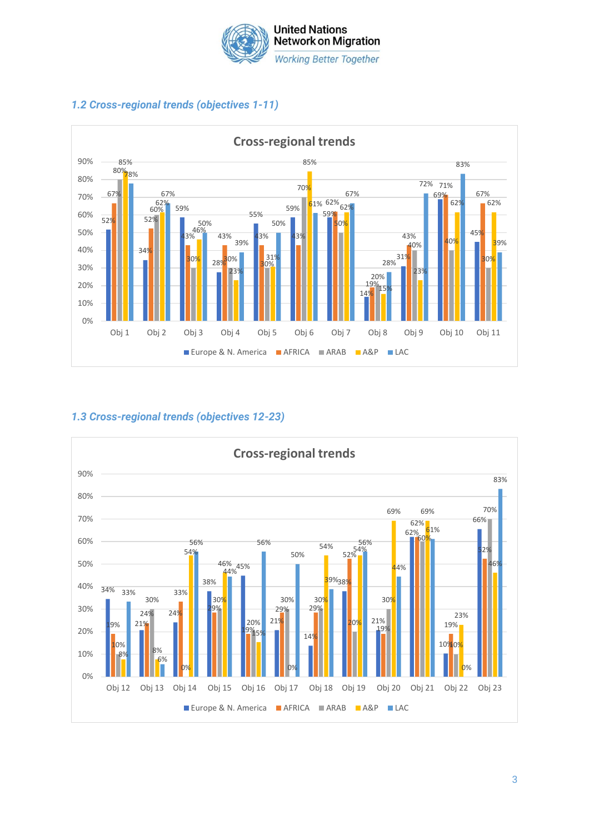



# *1.2 Cross-regional trends (objectives 1-11)*

# *1.3 Cross-regional trends (objectives 12-23)*

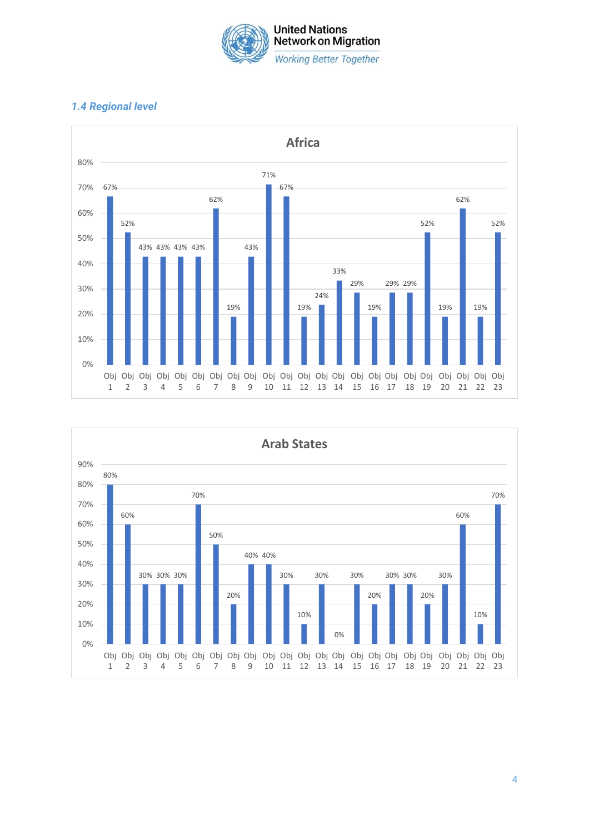

## *1.4 Regional level*





4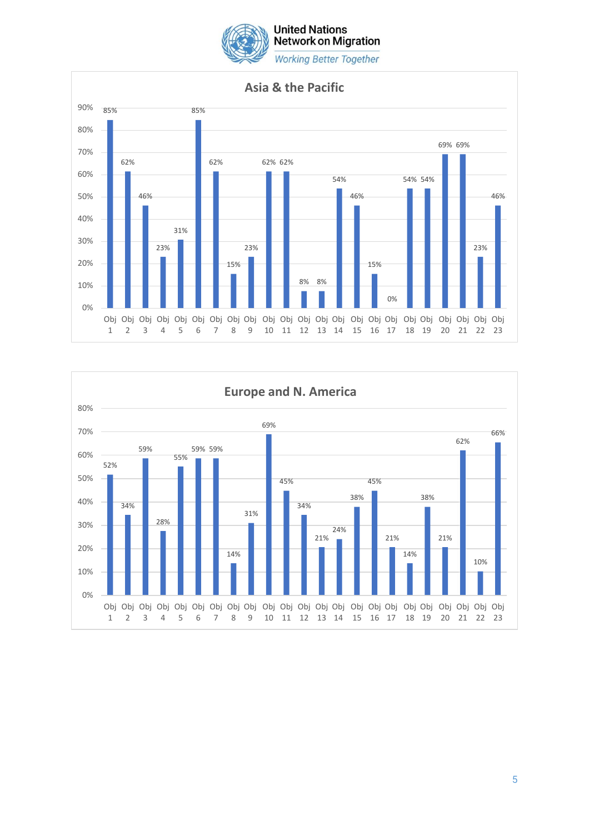